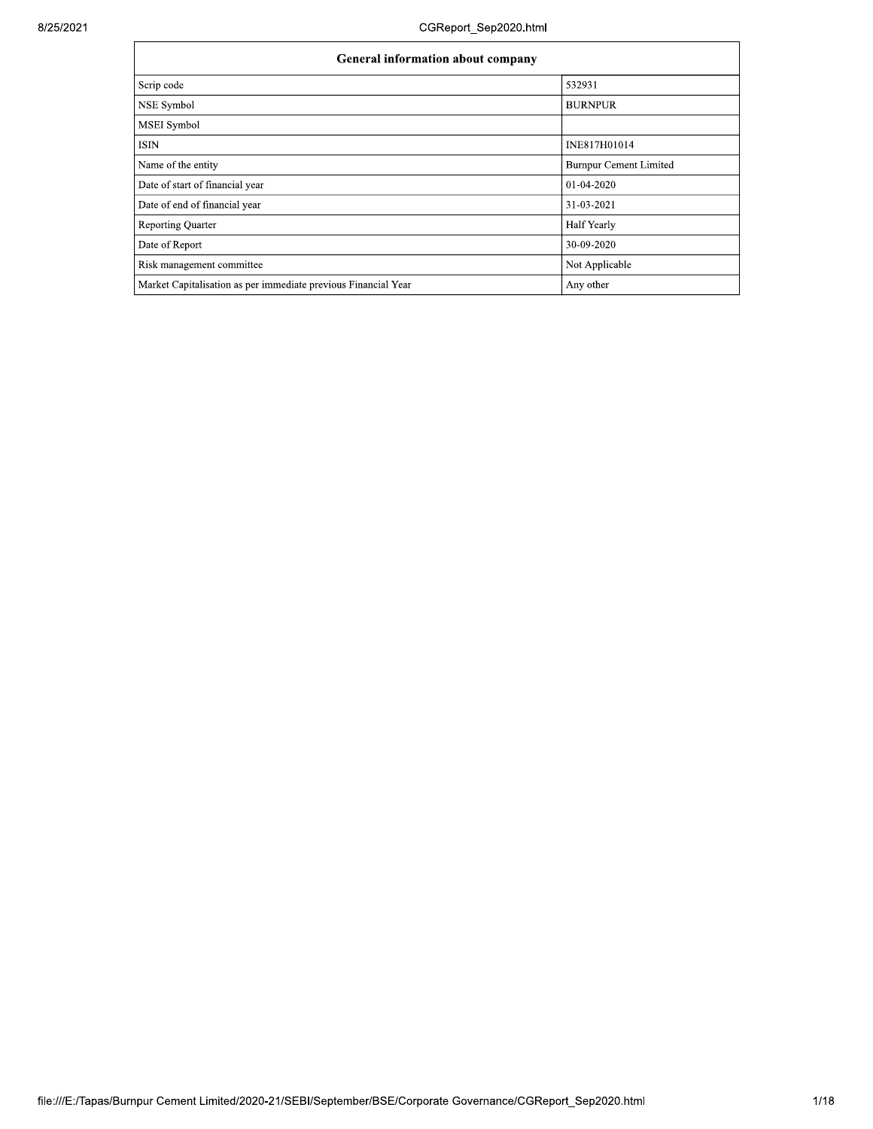| <b>General information about company</b>                       |                               |  |  |  |  |  |  |
|----------------------------------------------------------------|-------------------------------|--|--|--|--|--|--|
| Scrip code                                                     | 532931                        |  |  |  |  |  |  |
| NSE Symbol                                                     | <b>BURNPUR</b>                |  |  |  |  |  |  |
| MSEI Symbol                                                    |                               |  |  |  |  |  |  |
| ISIN                                                           | INE817H01014                  |  |  |  |  |  |  |
| Name of the entity                                             | <b>Burnpur Cement Limited</b> |  |  |  |  |  |  |
| Date of start of financial year                                | 01-04-2020                    |  |  |  |  |  |  |
| Date of end of financial year                                  | 31-03-2021                    |  |  |  |  |  |  |
| <b>Reporting Quarter</b>                                       | Half Yearly                   |  |  |  |  |  |  |
| Date of Report                                                 | 30-09-2020                    |  |  |  |  |  |  |
| Risk management committee                                      | Not Applicable                |  |  |  |  |  |  |
| Market Capitalisation as per immediate previous Financial Year | Any other                     |  |  |  |  |  |  |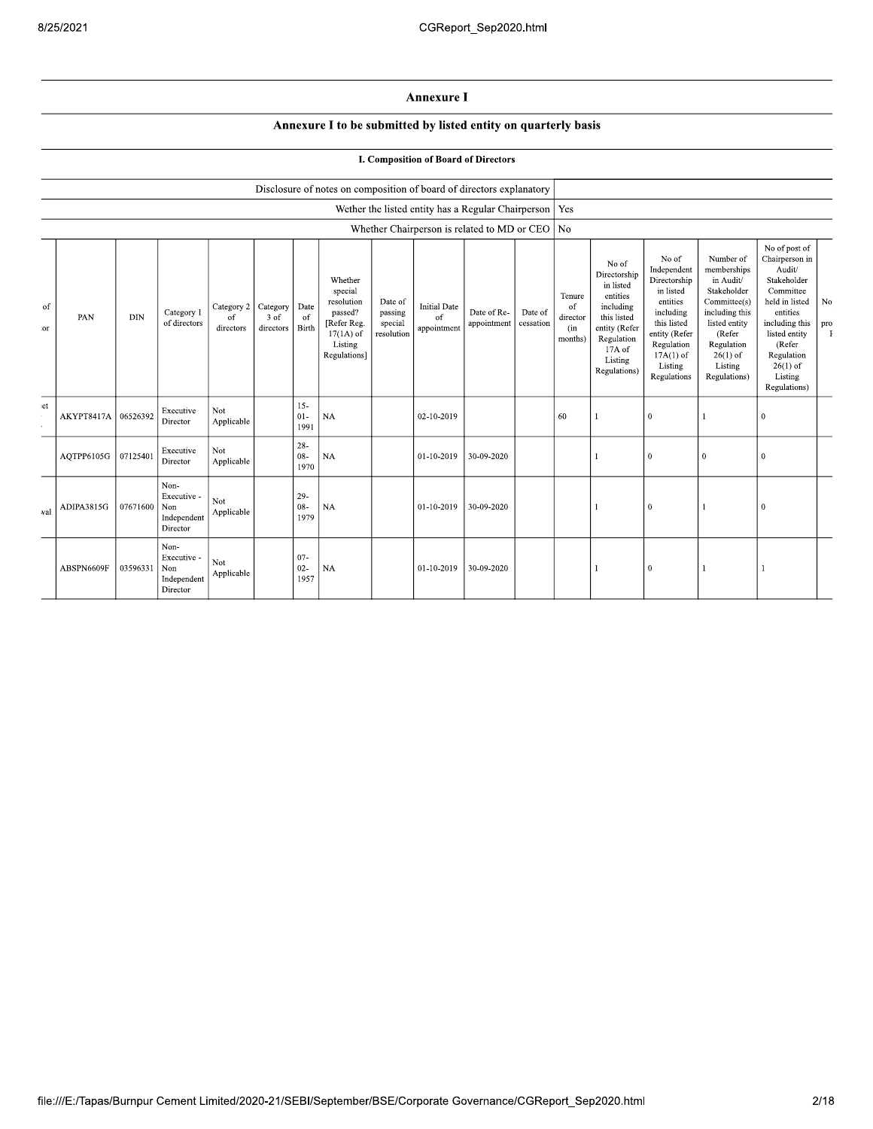## Annexure I

## Annexure I to be submitted by listed entity on quarterly basis

|  |  |  | I. Composition of Board of Directors |
|--|--|--|--------------------------------------|
|--|--|--|--------------------------------------|

|          |            |            |                                                       |                               |                               |                          | Disclosure of notes on composition of board of directors explanatory                                 |                                             |                                                          |                            |                      |                                            |                                                                                                                                                |                                                                                                                                                                   |                                                                                                                                                                          |                                                                                                                                                                                                         |           |
|----------|------------|------------|-------------------------------------------------------|-------------------------------|-------------------------------|--------------------------|------------------------------------------------------------------------------------------------------|---------------------------------------------|----------------------------------------------------------|----------------------------|----------------------|--------------------------------------------|------------------------------------------------------------------------------------------------------------------------------------------------|-------------------------------------------------------------------------------------------------------------------------------------------------------------------|--------------------------------------------------------------------------------------------------------------------------------------------------------------------------|---------------------------------------------------------------------------------------------------------------------------------------------------------------------------------------------------------|-----------|
|          |            |            |                                                       |                               |                               |                          |                                                                                                      |                                             | Wether the listed entity has a Regular Chairperson   Yes |                            |                      |                                            |                                                                                                                                                |                                                                                                                                                                   |                                                                                                                                                                          |                                                                                                                                                                                                         |           |
|          |            |            |                                                       |                               |                               |                          |                                                                                                      |                                             | Whether Chairperson is related to MD or CEO   No         |                            |                      |                                            |                                                                                                                                                |                                                                                                                                                                   |                                                                                                                                                                          |                                                                                                                                                                                                         |           |
| of<br>юr | PAN        | <b>DIN</b> | Category 1<br>of directors                            | Category 2<br>of<br>directors | Category<br>3 of<br>directors | Date<br>of<br>Birth      | Whether<br>special<br>resolution<br>passed?<br>[Refer Reg.<br>$17(1A)$ of<br>Listing<br>Regulations] | Date of<br>passing<br>special<br>resolution | <b>Initial Date</b><br>of<br>appointment                 | Date of Re-<br>appointment | Date of<br>cessation | Tenure<br>of<br>director<br>(in<br>months) | No of<br>Directorship<br>in listed<br>entities<br>including<br>this listed<br>entity (Refer<br>Regulation<br>17A of<br>Listing<br>Regulations) | No of<br>Independent<br>Directorship<br>in listed<br>entities<br>including<br>this listed<br>entity (Refer<br>Regulation<br>$17A(1)$ of<br>Listing<br>Regulations | Number of<br>memberships<br>in Audit/<br>Stakeholder<br>Committee(s)<br>including this<br>listed entity<br>(Refer<br>Regulation<br>$26(1)$ of<br>Listing<br>Regulations) | No of post of<br>Chairperson in<br>Audit/<br>Stakeholder<br>Committee<br>held in listed<br>entities<br>including this<br>listed entity<br>(Refer<br>Regulation<br>$26(1)$ of<br>Listing<br>Regulations) | No<br>pro |
| et       | AKYPT8417A | 06526392   | Executive<br>Director                                 | Not<br>Applicable             |                               | $15 -$<br>$01 -$<br>1991 | <b>NA</b>                                                                                            |                                             | 02-10-2019                                               |                            |                      | 60                                         |                                                                                                                                                | $\mathbf{0}$                                                                                                                                                      |                                                                                                                                                                          | $\mathbf{0}$                                                                                                                                                                                            |           |
|          | AQTPP6105G | 07125401   | Executive<br>Director                                 | Not<br>Applicable             |                               | $28 -$<br>08-<br>1970    | <b>NA</b>                                                                                            |                                             | 01-10-2019                                               | 30-09-2020                 |                      |                                            |                                                                                                                                                | $\mathbf{0}$                                                                                                                                                      | $\mathbf{0}$                                                                                                                                                             | $\mathbf{0}$                                                                                                                                                                                            |           |
| val      | ADIPA3815G | 07671600   | Non-<br>Executive -<br>Non<br>Independent<br>Director | Not<br>Applicable             |                               | $29-$<br>$08 -$<br>1979  | <b>NA</b>                                                                                            |                                             | 01-10-2019                                               | 30-09-2020                 |                      |                                            |                                                                                                                                                | $\mathbf{0}$                                                                                                                                                      |                                                                                                                                                                          | $\mathbf{0}$                                                                                                                                                                                            |           |
|          | ABSPN6609F | 03596331   | Non-<br>Executive -<br>Non<br>Independent<br>Director | Not<br>Applicable             |                               | $07 -$<br>$02 -$<br>1957 | NA                                                                                                   |                                             | 01-10-2019                                               | 30-09-2020                 |                      |                                            |                                                                                                                                                | 0                                                                                                                                                                 |                                                                                                                                                                          |                                                                                                                                                                                                         |           |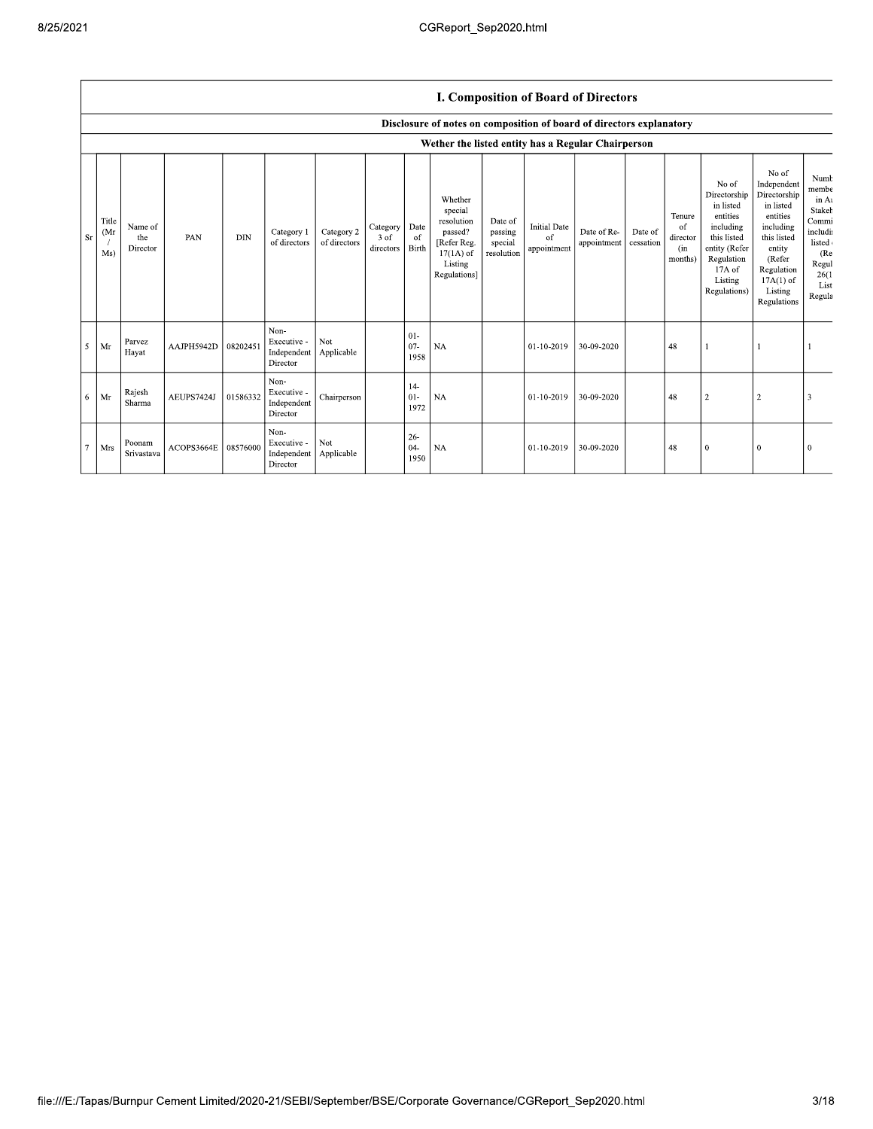## I. Composition of Board of Directors

|             |                     |                            |            |            |                                                |                            |                               |                             | Disclosure of notes on composition of board of directors explanatory                                 |                                             |                                          |                            |                      |                                            |                                                                                                                                                |                                                                                                                                                                      |                                                                                                           |
|-------------|---------------------|----------------------------|------------|------------|------------------------------------------------|----------------------------|-------------------------------|-----------------------------|------------------------------------------------------------------------------------------------------|---------------------------------------------|------------------------------------------|----------------------------|----------------------|--------------------------------------------|------------------------------------------------------------------------------------------------------------------------------------------------|----------------------------------------------------------------------------------------------------------------------------------------------------------------------|-----------------------------------------------------------------------------------------------------------|
|             |                     |                            |            |            |                                                |                            |                               |                             | Wether the listed entity has a Regular Chairperson                                                   |                                             |                                          |                            |                      |                                            |                                                                                                                                                |                                                                                                                                                                      |                                                                                                           |
| $_{\rm Sr}$ | Title<br>(Mr<br>Ms) | Name of<br>the<br>Director | PAN        | <b>DIN</b> | Category 1<br>of directors                     | Category 2<br>of directors | Category<br>3 of<br>directors | Date<br>-of<br><b>Birth</b> | Whether<br>special<br>resolution<br>passed?<br>[Refer Reg.<br>$17(1A)$ of<br>Listing<br>Regulations] | Date of<br>passing<br>special<br>resolution | <b>Initial Date</b><br>of<br>appointment | Date of Re-<br>appointment | Date of<br>cessation | Tenure<br>of<br>director<br>(in<br>months) | No of<br>Directorship<br>in listed<br>entities<br>including<br>this listed<br>entity (Refer<br>Regulation<br>17A of<br>Listing<br>Regulations) | No of<br>Independent<br>Directorship<br>in listed<br>entities<br>including<br>this listed<br>entity<br>(Refer<br>Regulation<br>$17A(1)$ of<br>Listing<br>Regulations | Numb<br>membe<br>in At<br>Stakeh<br>Commi<br>includi<br>listed<br>(Re<br>Regul<br>26(1)<br>List<br>Regula |
| 5           | Mr                  | Parvez<br>Hayat            | AAJPH5942D | 08202451   | Non-<br>Executive -<br>Independent<br>Director | Not<br>Applicable          |                               | $01 -$<br>$07 -$<br>1958    | <b>NA</b>                                                                                            |                                             | 01-10-2019                               | 30-09-2020                 |                      | 48                                         |                                                                                                                                                |                                                                                                                                                                      |                                                                                                           |
| -6          | Mr                  | Rajesh<br>Sharma           | AEUPS7424J | 01586332   | Non-<br>Executive -<br>Independent<br>Director | Chairperson                |                               | $14-$<br>$01 -$<br>1972     | <b>NA</b>                                                                                            |                                             | 01-10-2019                               | 30-09-2020                 |                      | 48                                         | $\overline{2}$                                                                                                                                 | $\overline{\mathbf{c}}$                                                                                                                                              | 3                                                                                                         |
| 7           | Mrs                 | Poonam<br>Srivastava       | ACOPS3664E | 08576000   | Non-<br>Executive -<br>Independent<br>Director | Not<br>Applicable          |                               | $26 -$<br>$04 -$<br>1950    | <b>NA</b>                                                                                            |                                             | 01-10-2019                               | 30-09-2020                 |                      | 48                                         | $\Omega$                                                                                                                                       | $\theta$                                                                                                                                                             | $\Omega$                                                                                                  |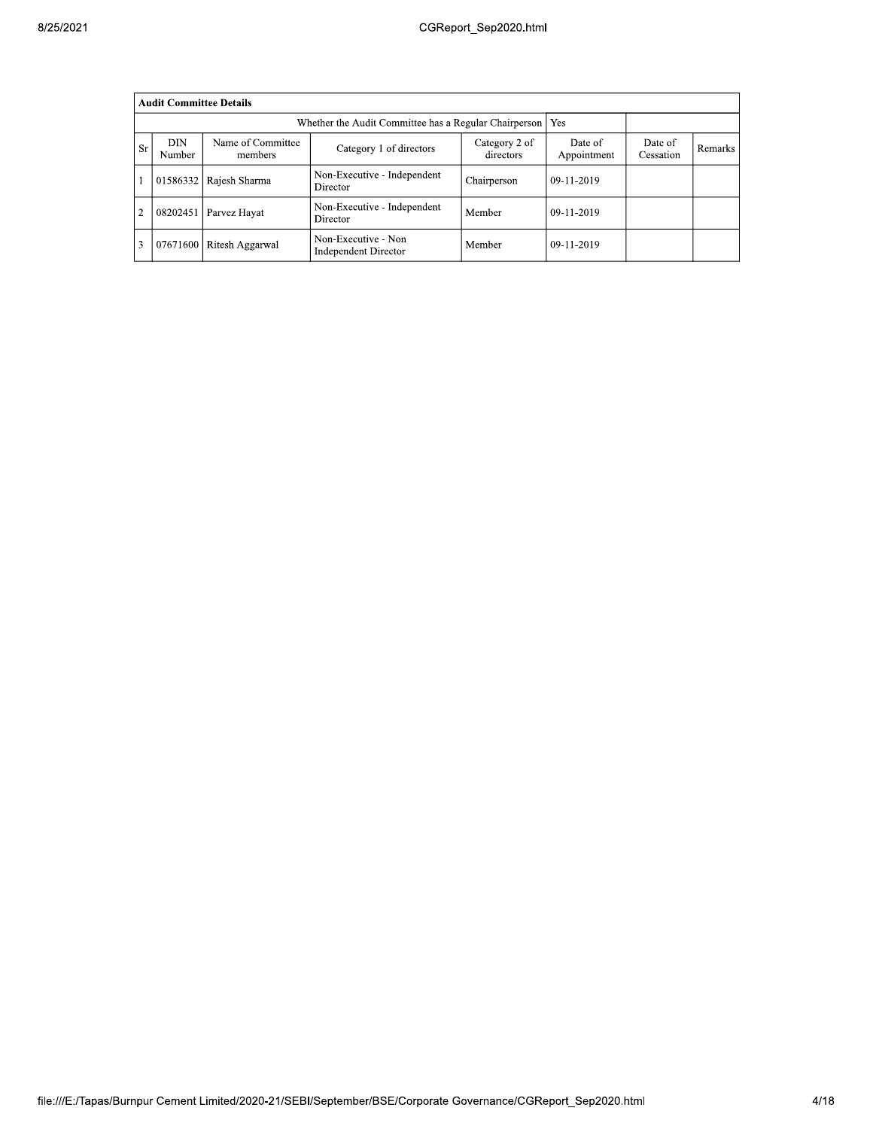| 8/25/2021 |                |                                                              |                              |                                                    | CGReport Sep2020.html      |                        |                      |         |
|-----------|----------------|--------------------------------------------------------------|------------------------------|----------------------------------------------------|----------------------------|------------------------|----------------------|---------|
|           |                | <b>Audit Committee Details</b>                               |                              |                                                    |                            |                        |                      |         |
|           |                | Yes<br>Whether the Audit Committee has a Regular Chairperson |                              |                                                    |                            |                        |                      |         |
|           | <b>Sr</b>      | <b>DIN</b><br>Number                                         | Name of Committee<br>members | Category 1 of directors                            | Category 2 of<br>directors | Date of<br>Appointment | Date of<br>Cessation | Remarks |
|           |                |                                                              | 01586332 Rajesh Sharma       | Non-Executive - Independent<br>Director            | Chairperson                | 09-11-2019             |                      |         |
|           | $\overline{2}$ | 08202451                                                     | Parvez Hayat                 | Non-Executive - Independent<br>Director            | Member                     | 09-11-2019             |                      |         |
|           | 3              |                                                              | 07671600 Ritesh Aggarwal     | Non-Executive - Non<br><b>Independent Director</b> | Member                     | 09-11-2019             |                      |         |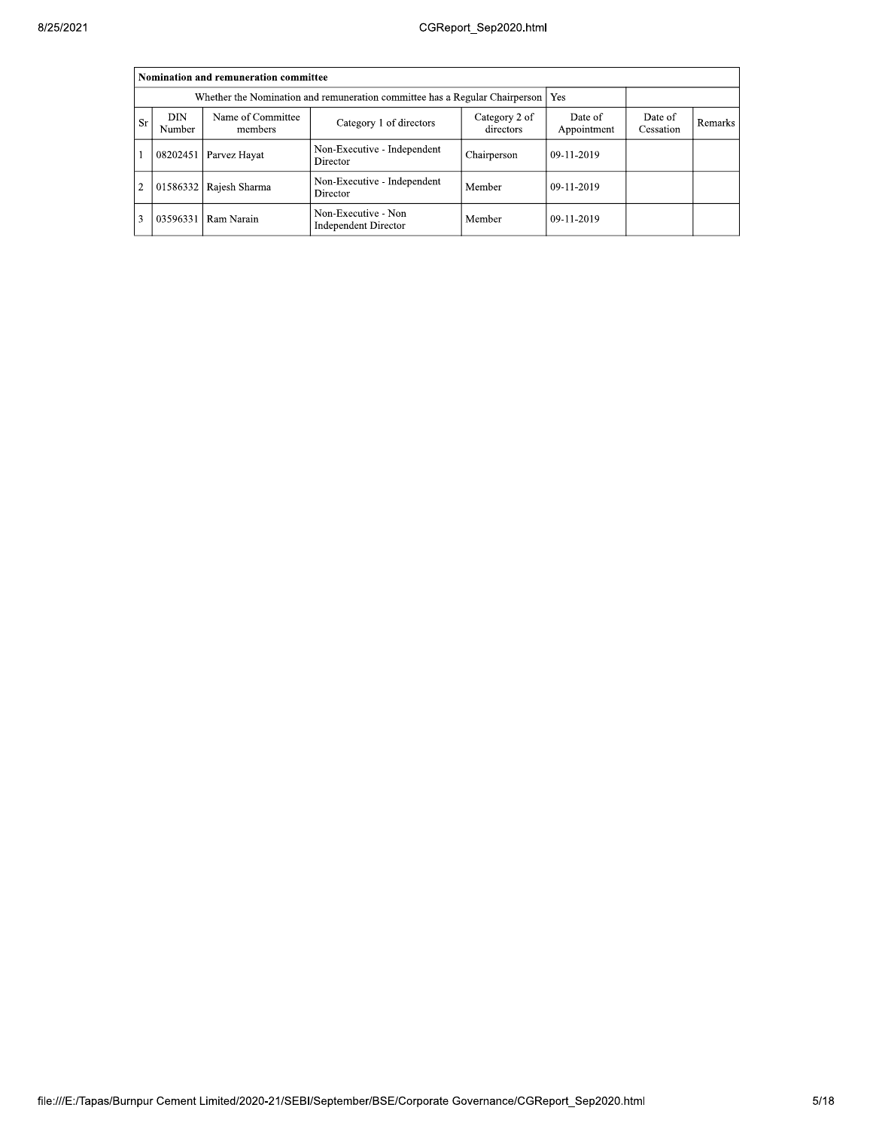|           |               | Nomination and remuneration committee |                                                                                   |             |              |  |  |
|-----------|---------------|---------------------------------------|-----------------------------------------------------------------------------------|-------------|--------------|--|--|
|           |               |                                       | Whether the Nomination and remuneration committee has a Regular Chairperson   Yes |             |              |  |  |
| <b>Sr</b> | DIN<br>Number | Date of<br>Cessation                  | <b>Remarks</b>                                                                    |             |              |  |  |
|           | 08202451      | Parvez Hayat                          | Non-Executive - Independent<br>Director                                           | Chairperson | $09-11-2019$ |  |  |
|           | 01586332      | Rajesh Sharma                         | Non-Executive - Independent<br>Director                                           | Member      | $09-11-2019$ |  |  |
|           | 03596331      | Ram Narain                            | Non-Executive - Non<br><b>Independent Director</b>                                | Member      | $09-11-2019$ |  |  |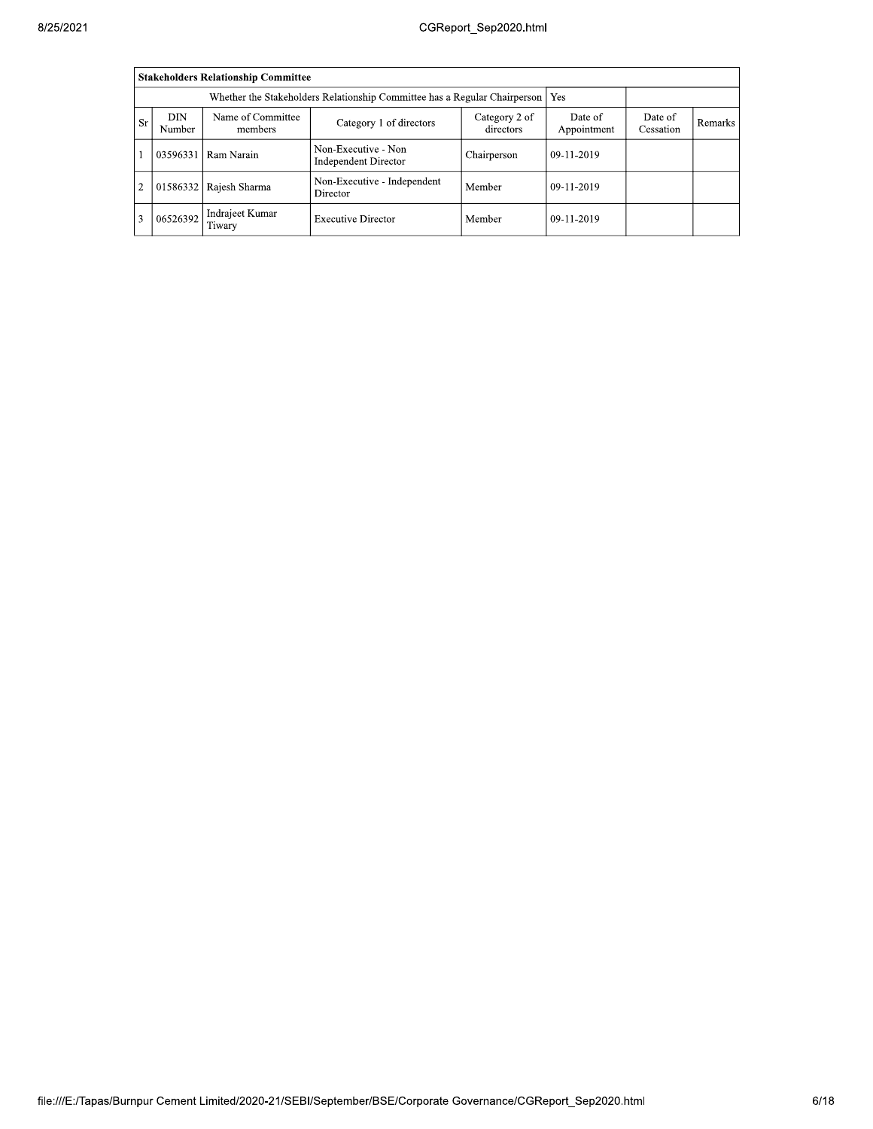|                |               | <b>Stakeholders Relationship Committee</b> |                                                                                 |             |              |  |  |
|----------------|---------------|--------------------------------------------|---------------------------------------------------------------------------------|-------------|--------------|--|--|
|                |               |                                            | Whether the Stakeholders Relationship Committee has a Regular Chairperson   Yes |             |              |  |  |
| <b>Sr</b>      | DIN<br>Number | Date of<br>Cessation                       | Remarks <sup>1</sup>                                                            |             |              |  |  |
|                | 03596331      | Ram Narain                                 | Non-Executive - Non<br>Independent Director                                     | Chairperson | 09-11-2019   |  |  |
| $\overline{2}$ | 01586332      | Rajesh Sharma                              | Non-Executive - Independent<br>Director                                         | Member      | 09-11-2019   |  |  |
| 3              | 06526392      | Indrajeet Kumar<br>Tiwary                  | <b>Executive Director</b>                                                       | Member      | $09-11-2019$ |  |  |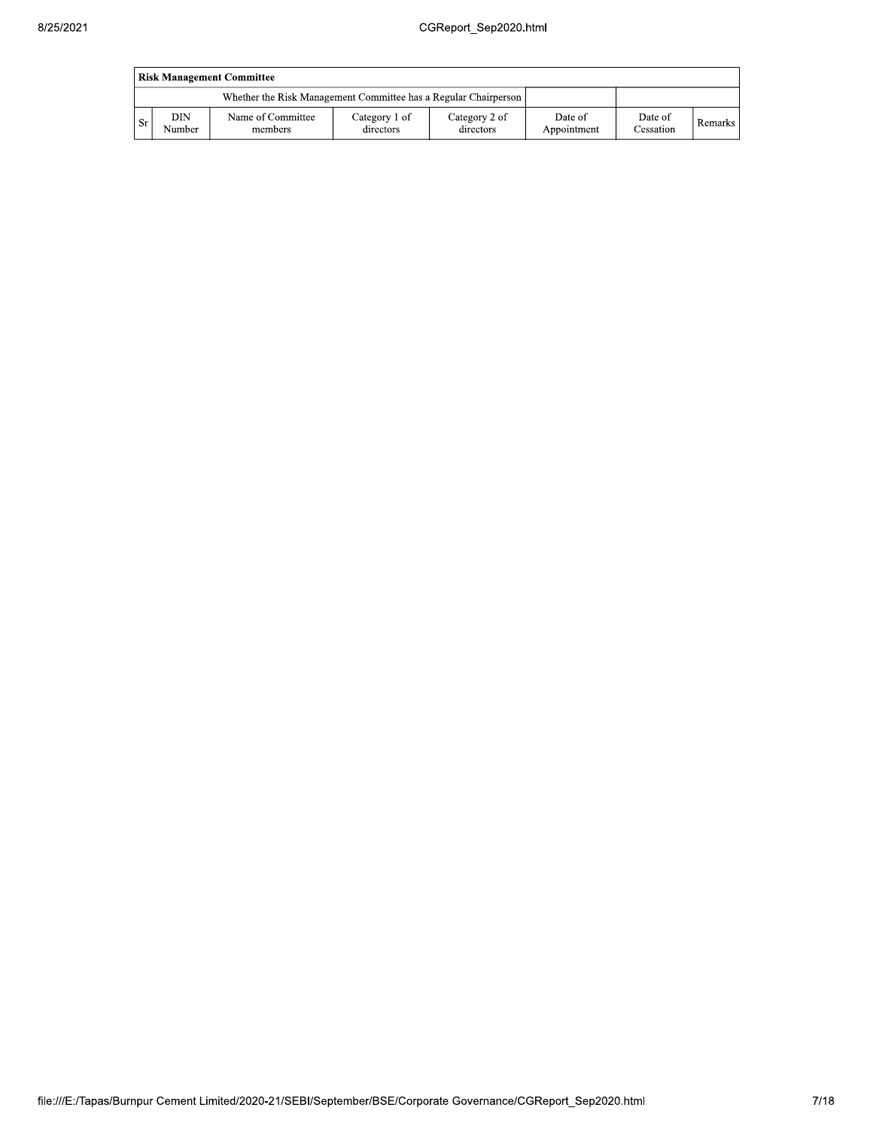|     | <b>Risk Management Committee</b> |                                                                 |                            |                            |                        |                             |         |  |  |  |  |  |  |
|-----|----------------------------------|-----------------------------------------------------------------|----------------------------|----------------------------|------------------------|-----------------------------|---------|--|--|--|--|--|--|
|     |                                  | Whether the Risk Management Committee has a Regular Chairperson |                            |                            |                        |                             |         |  |  |  |  |  |  |
| -Sr | DIN<br>Number                    | Name of Committee<br>members                                    | Category 1 of<br>directors | Category 2 of<br>directors | Date of<br>Appointment | Date of<br><b>Cessation</b> | Remarks |  |  |  |  |  |  |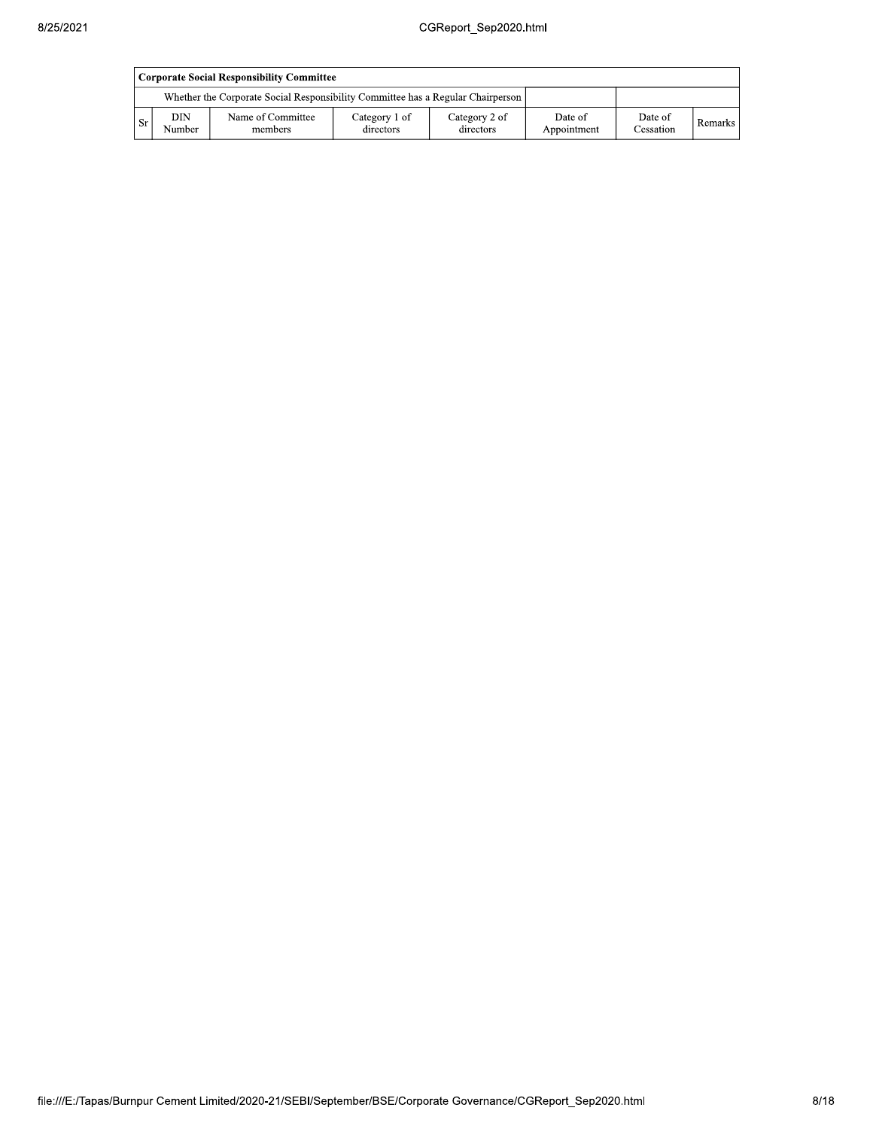|      | Corporate Social Responsibility Committee |                                                                                 |                            |                            |                        |                      |           |  |  |  |  |  |
|------|-------------------------------------------|---------------------------------------------------------------------------------|----------------------------|----------------------------|------------------------|----------------------|-----------|--|--|--|--|--|
|      |                                           | Whether the Corporate Social Responsibility Committee has a Regular Chairperson |                            |                            |                        |                      |           |  |  |  |  |  |
| - Sr | DIN.<br>Number                            | Name of Committee<br>members                                                    | Category 1 of<br>directors | Category 2 of<br>directors | Date of<br>Appointment | Date of<br>Cessation | Remarks I |  |  |  |  |  |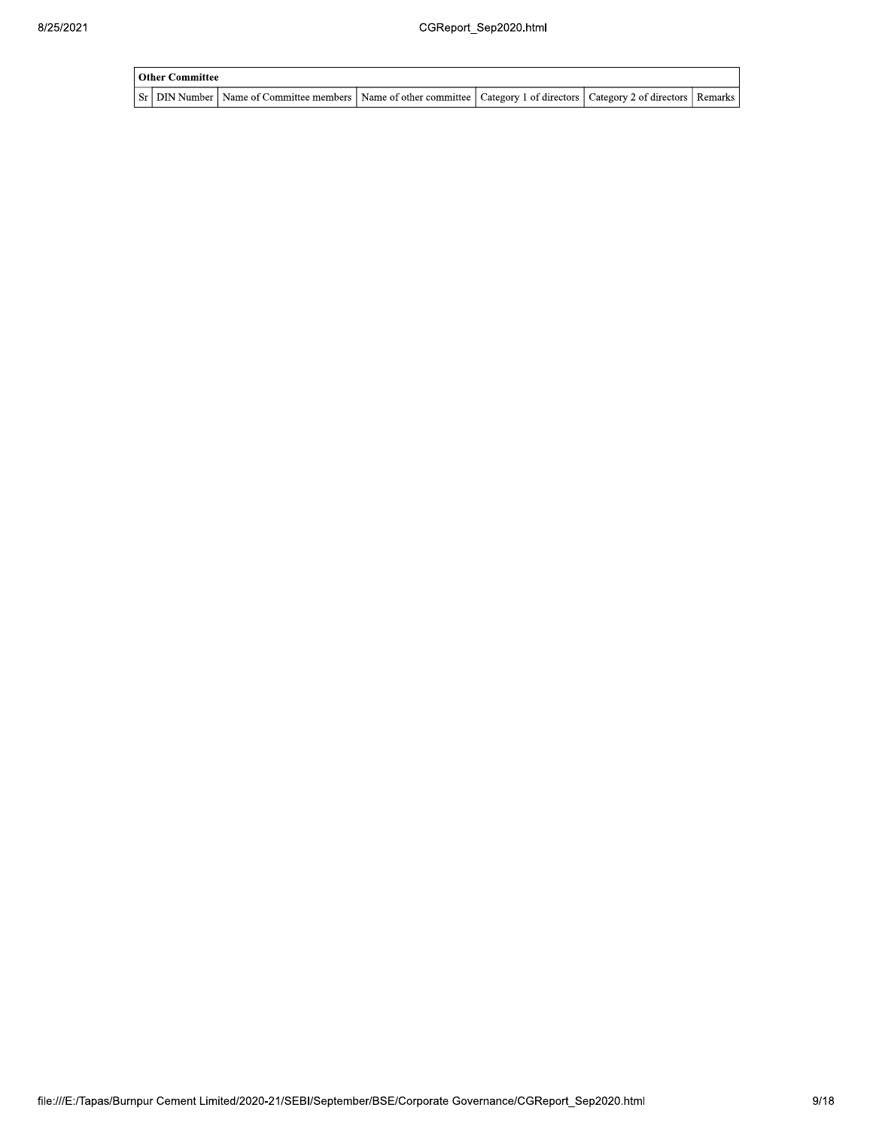| Other Committee |                                                                                                                                     |  |  |  |  |  |  |  |
|-----------------|-------------------------------------------------------------------------------------------------------------------------------------|--|--|--|--|--|--|--|
|                 | Sr   DIN Number   Name of Committee members   Name of other committee   Category 1 of directors   Category 2 of directors   Remarks |  |  |  |  |  |  |  |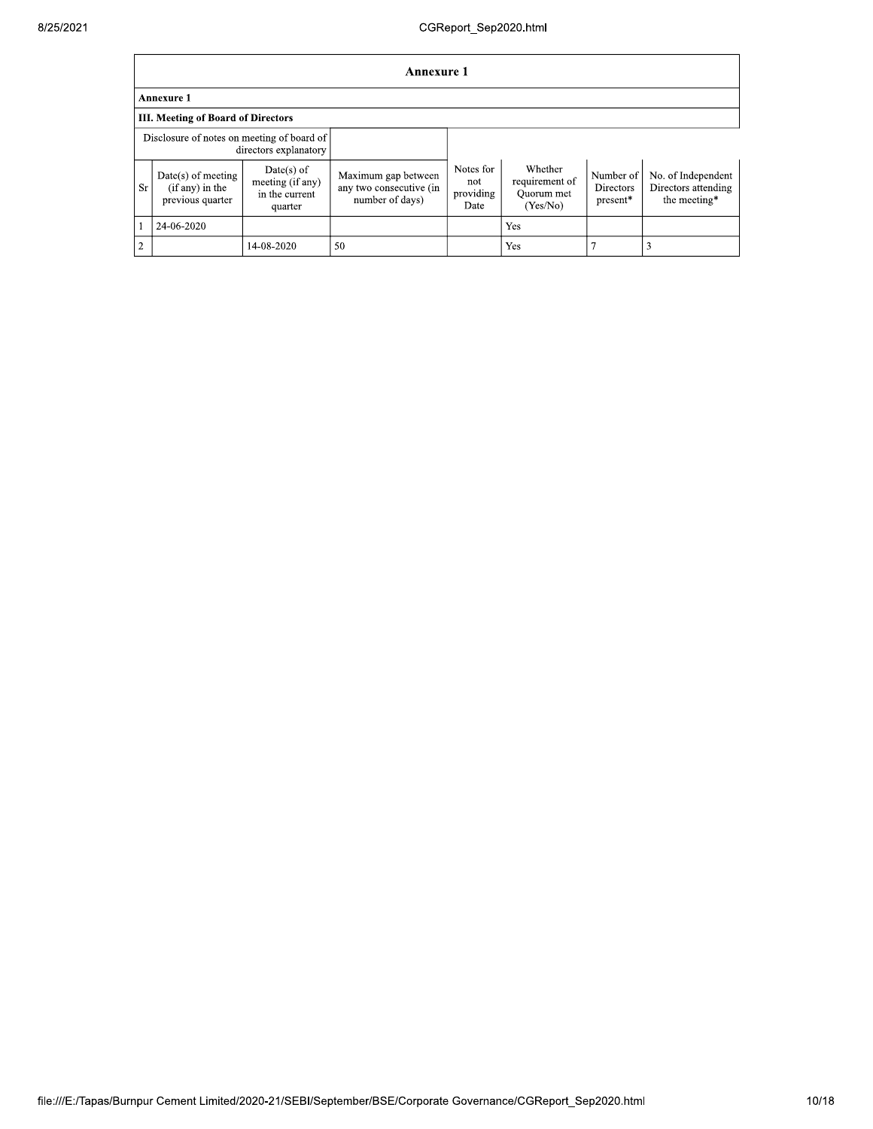|                | <b>Annexure 1</b>                                                   |                                                               |                                                                   |                                       |                                                     |                                    |                                                           |  |  |  |  |
|----------------|---------------------------------------------------------------------|---------------------------------------------------------------|-------------------------------------------------------------------|---------------------------------------|-----------------------------------------------------|------------------------------------|-----------------------------------------------------------|--|--|--|--|
|                | <b>Annexure 1</b>                                                   |                                                               |                                                                   |                                       |                                                     |                                    |                                                           |  |  |  |  |
|                | <b>III. Meeting of Board of Directors</b>                           |                                                               |                                                                   |                                       |                                                     |                                    |                                                           |  |  |  |  |
|                | Disclosure of notes on meeting of board of<br>directors explanatory |                                                               |                                                                   |                                       |                                                     |                                    |                                                           |  |  |  |  |
| Sr.            | $Date(s)$ of meeting<br>$(if any)$ in the<br>previous quarter       | $Date(s)$ of<br>meeting (if any)<br>in the current<br>quarter | Maximum gap between<br>any two consecutive (in<br>number of days) | Notes for<br>not<br>providing<br>Date | Whether<br>requirement of<br>Ouorum met<br>(Yes/No) | Number of<br>Directors<br>present* | No. of Independent<br>Directors attending<br>the meeting* |  |  |  |  |
|                | 24-06-2020                                                          |                                                               |                                                                   |                                       | Yes                                                 |                                    |                                                           |  |  |  |  |
| $\overline{2}$ |                                                                     | 14-08-2020                                                    | 50                                                                |                                       | Yes                                                 |                                    |                                                           |  |  |  |  |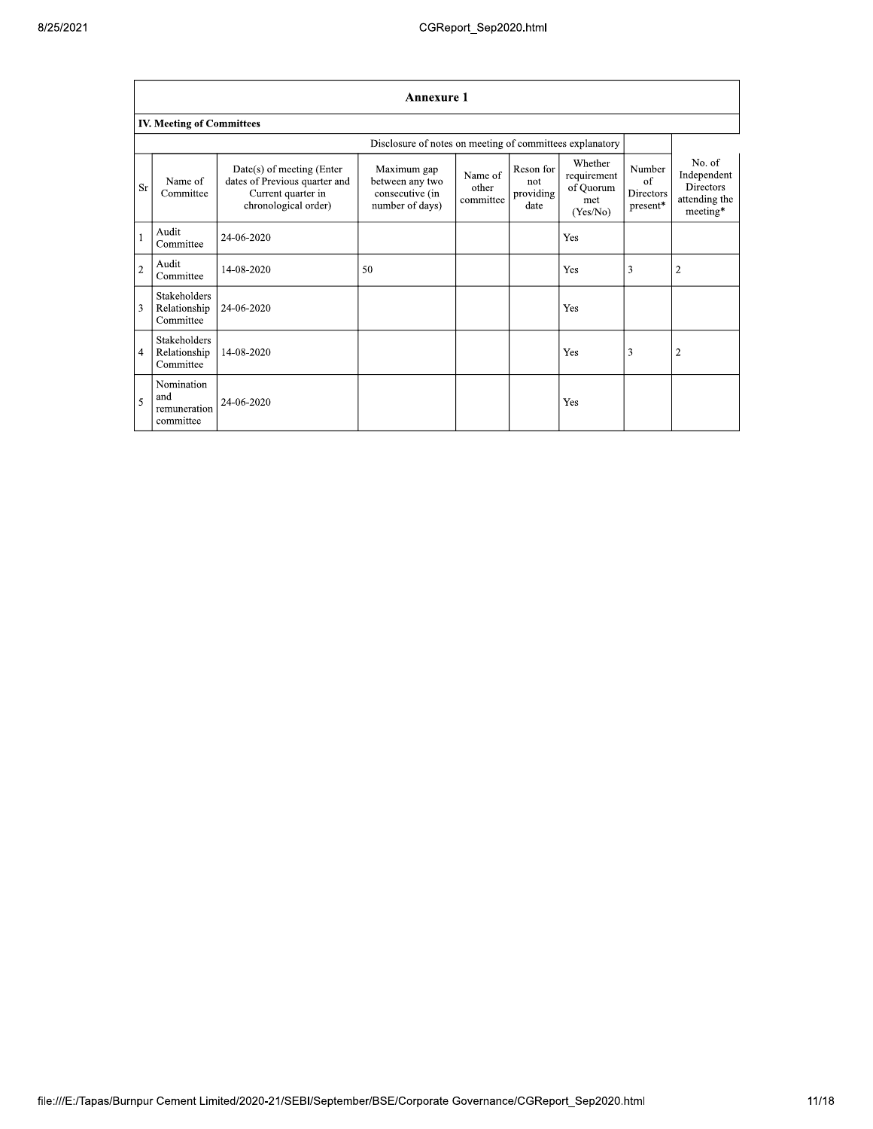|                | <b>Annexure 1</b>                              |                                                                                                            |                                                                      |                               |                                       |                                                        |                                                      |                                                                        |  |  |
|----------------|------------------------------------------------|------------------------------------------------------------------------------------------------------------|----------------------------------------------------------------------|-------------------------------|---------------------------------------|--------------------------------------------------------|------------------------------------------------------|------------------------------------------------------------------------|--|--|
|                | <b>IV. Meeting of Committees</b>               |                                                                                                            |                                                                      |                               |                                       |                                                        |                                                      |                                                                        |  |  |
|                |                                                |                                                                                                            | Disclosure of notes on meeting of committees explanatory             |                               |                                       |                                                        |                                                      |                                                                        |  |  |
| Sr             | Name of<br>Committee                           | $Date(s)$ of meeting (Enter<br>dates of Previous quarter and<br>Current quarter in<br>chronological order) | Maximum gap<br>between any two<br>consecutive (in<br>number of days) | Name of<br>other<br>committee | Reson for<br>not<br>providing<br>date | Whether<br>requirement<br>of Quorum<br>met<br>(Yes/No) | Number<br>of<br>Directors<br>$\, {\rm present}^* \,$ | No. of<br>Independent<br><b>Directors</b><br>attending the<br>meeting* |  |  |
| $\mathbf{1}$   | Audit<br>Committee                             | 24-06-2020                                                                                                 |                                                                      |                               |                                       | Yes                                                    |                                                      |                                                                        |  |  |
| $\overline{2}$ | Audit<br>Committee                             | 14-08-2020                                                                                                 | 50                                                                   |                               |                                       | Yes                                                    | 3                                                    | 2                                                                      |  |  |
| 3              | Stakeholders<br>Relationship<br>Committee      | 24-06-2020                                                                                                 |                                                                      |                               |                                       | Yes                                                    |                                                      |                                                                        |  |  |
| $\overline{4}$ | Stakeholders<br>Relationship<br>Committee      | 14-08-2020                                                                                                 |                                                                      |                               |                                       | Yes                                                    | 3                                                    | $\overline{\mathbf{c}}$                                                |  |  |
| 5              | Nomination<br>and<br>remuneration<br>committee | 24-06-2020                                                                                                 |                                                                      |                               |                                       | Yes                                                    |                                                      |                                                                        |  |  |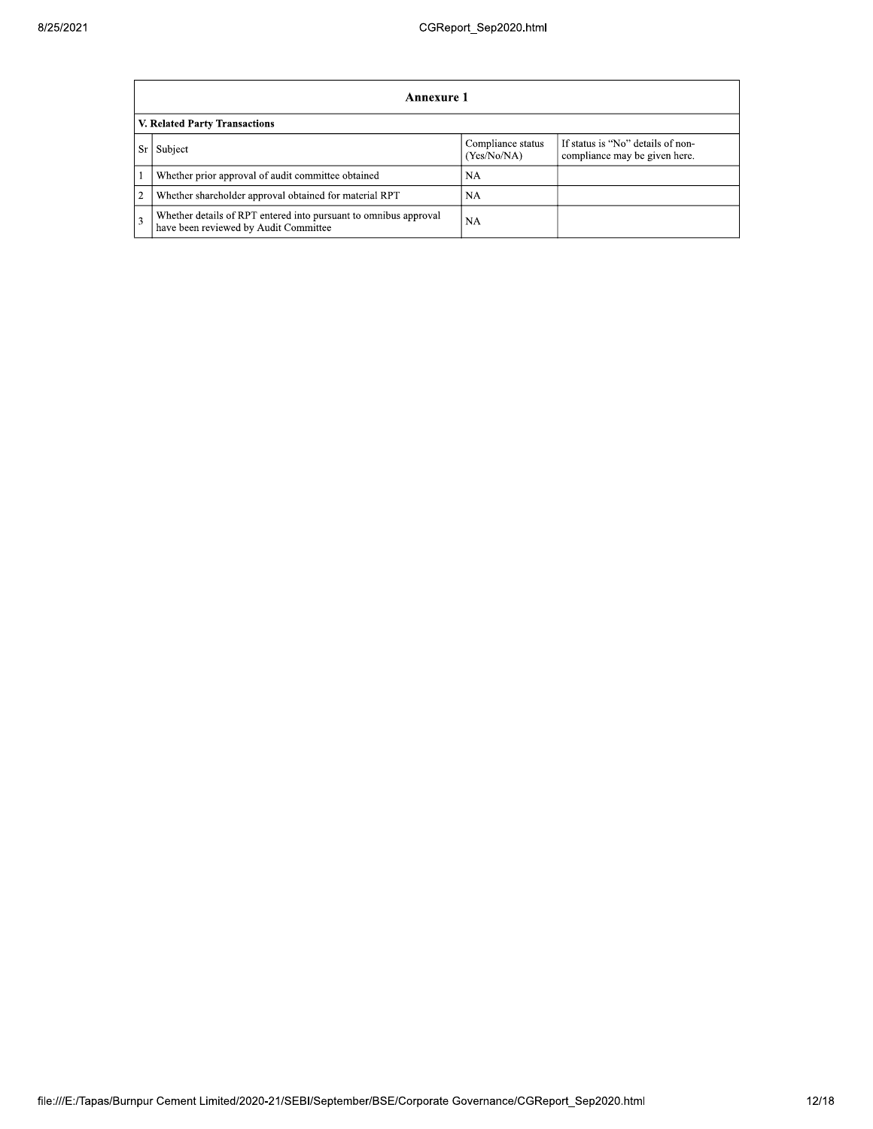|                               | Annexure 1                                                                                                |                                  |                                                                    |  |
|-------------------------------|-----------------------------------------------------------------------------------------------------------|----------------------------------|--------------------------------------------------------------------|--|
| V. Related Party Transactions |                                                                                                           |                                  |                                                                    |  |
| Sr                            | Subject                                                                                                   | Compliance status<br>(Yes/No/NA) | If status is "No" details of non-<br>compliance may be given here. |  |
|                               | Whether prior approval of audit committee obtained                                                        | NA                               |                                                                    |  |
| $\overline{2}$                | Whether shareholder approval obtained for material RPT                                                    | <b>NA</b>                        |                                                                    |  |
| 3                             | Whether details of RPT entered into pursuant to omnibus approval<br>have been reviewed by Audit Committee | <b>NA</b>                        |                                                                    |  |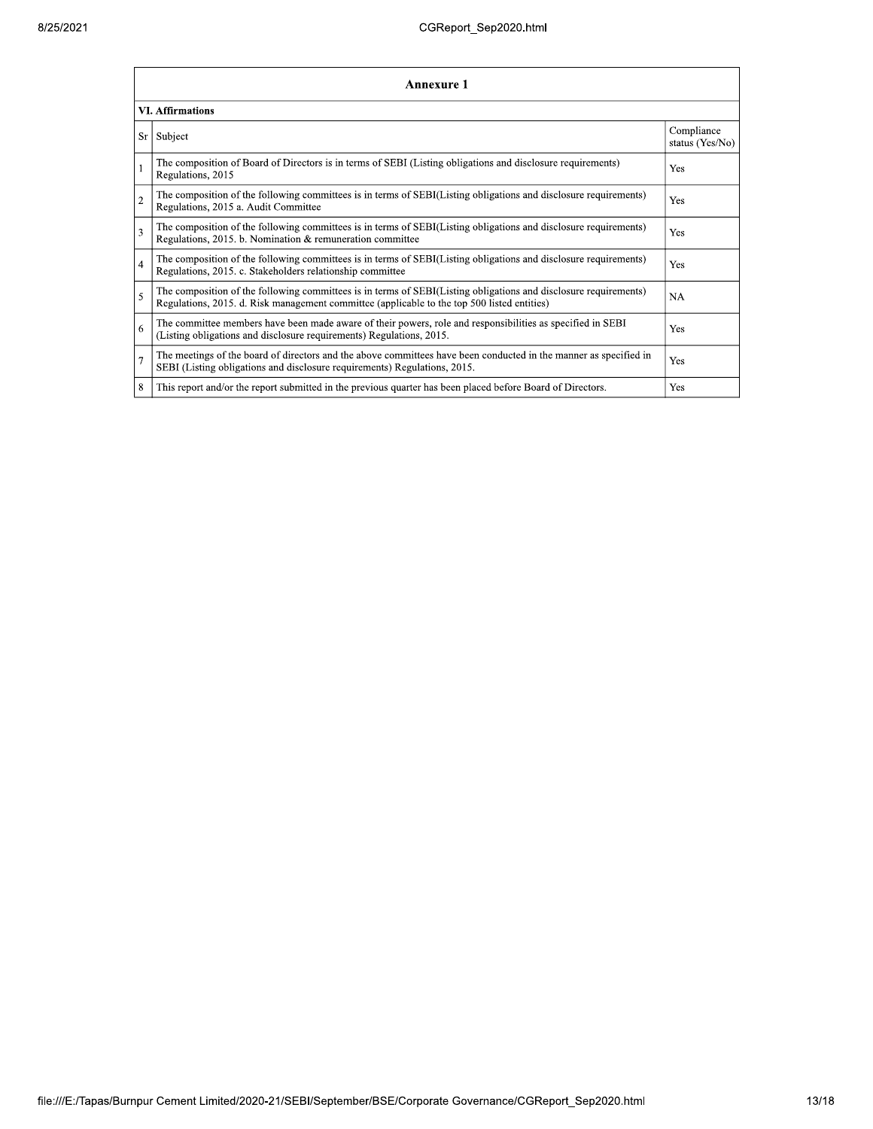| 25/2021 |                         | CGReport Sep2020.html                                                                                                                                                                                           |                               |  |  |
|---------|-------------------------|-----------------------------------------------------------------------------------------------------------------------------------------------------------------------------------------------------------------|-------------------------------|--|--|
|         |                         | <b>Annexure 1</b>                                                                                                                                                                                               |                               |  |  |
|         | <b>VI. Affirmations</b> |                                                                                                                                                                                                                 |                               |  |  |
|         |                         | Sr Subject                                                                                                                                                                                                      | Compliance<br>status (Yes/No) |  |  |
|         |                         | The composition of Board of Directors is in terms of SEBI (Listing obligations and disclosure requirements)<br>Regulations, 2015                                                                                | Yes                           |  |  |
|         | $\overline{c}$          | The composition of the following committees is in terms of SEBI(Listing obligations and disclosure requirements)<br>Regulations, 2015 a. Audit Committee                                                        | Yes                           |  |  |
|         | 3                       | The composition of the following committees is in terms of SEBI(Listing obligations and disclosure requirements)<br>Regulations, 2015. b. Nomination & remuneration committee                                   | Yes                           |  |  |
|         | 4                       | The composition of the following committees is in terms of SEBI(Listing obligations and disclosure requirements)<br>Regulations, 2015. c. Stakeholders relationship committee                                   | Yes                           |  |  |
|         |                         | The composition of the following committees is in terms of SEBI(Listing obligations and disclosure requirements)<br>Regulations, 2015. d. Risk management committee (applicable to the top 500 listed entities) | NA                            |  |  |
|         | 6                       | The committee members have been made aware of their powers, role and responsibilities as specified in SEBI<br>(Listing obligations and disclosure requirements) Regulations, 2015.                              | Yes                           |  |  |
|         |                         | The meetings of the board of directors and the above committees have been conducted in the manner as specified in<br>SEBI (Listing obligations and disclosure requirements) Regulations, 2015.                  | Yes                           |  |  |
|         | 8                       | This report and/or the report submitted in the previous quarter has been placed before Board of Directors.                                                                                                      | Yes                           |  |  |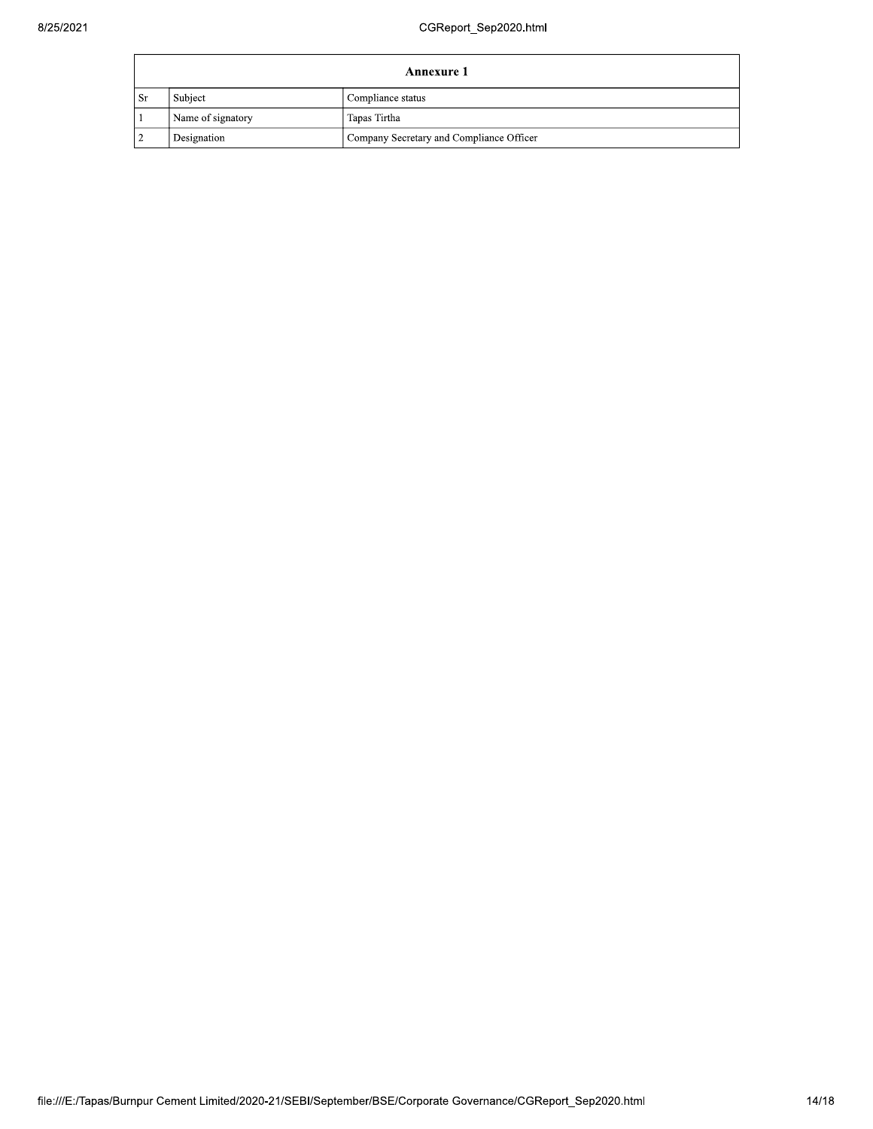| <b>Annexure 1</b> |                   |                                          |
|-------------------|-------------------|------------------------------------------|
| l Sr              | Subject           | Compliance status                        |
|                   | Name of signatory | Tapas Tirtha                             |
|                   | Designation       | Company Secretary and Compliance Officer |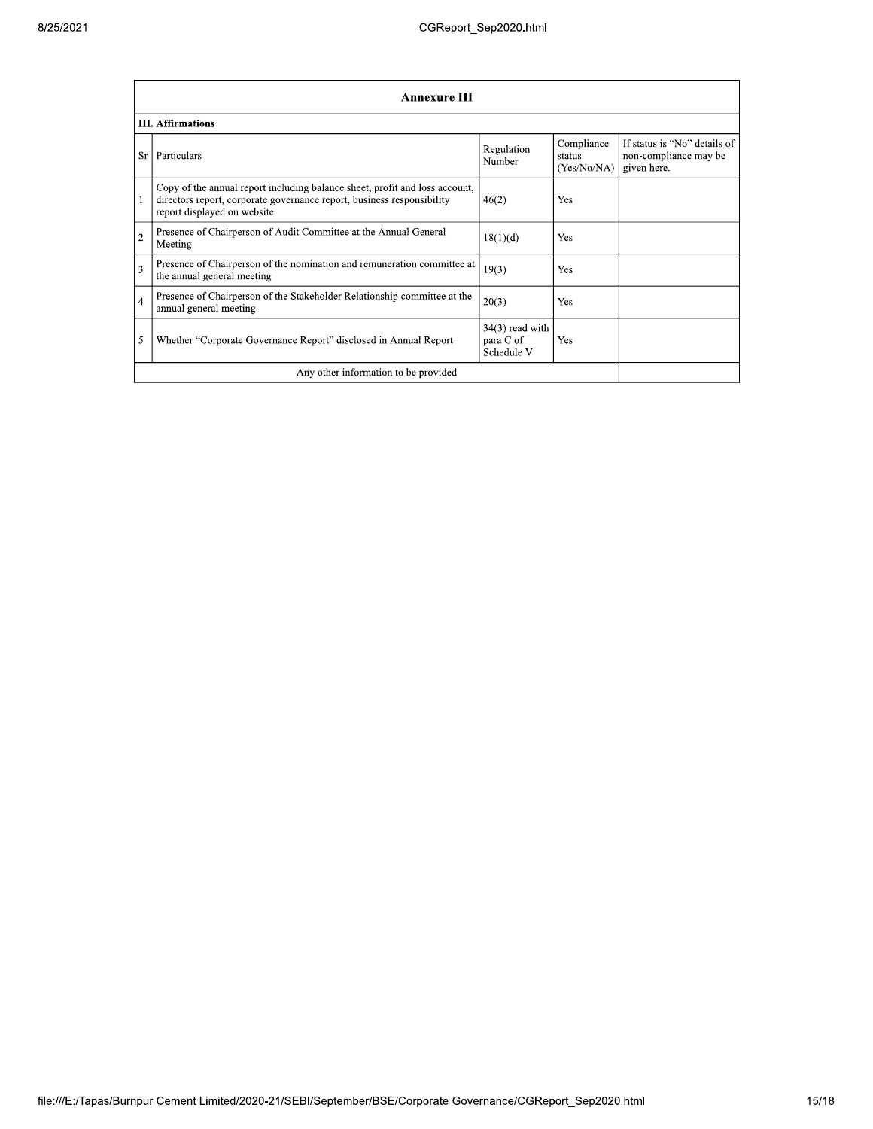|                | <b>Annexure III</b>                                                                                                                                                                  |                                              |                                     |                                                                      |  |
|----------------|--------------------------------------------------------------------------------------------------------------------------------------------------------------------------------------|----------------------------------------------|-------------------------------------|----------------------------------------------------------------------|--|
|                | <b>III.</b> Affirmations                                                                                                                                                             |                                              |                                     |                                                                      |  |
| Sr             | Particulars                                                                                                                                                                          | Regulation<br>Number                         | Compliance<br>status<br>(Yes/No/NA) | If status is "No" details of<br>non-compliance may be<br>given here. |  |
|                | Copy of the annual report including balance sheet, profit and loss account,<br>directors report, corporate governance report, business responsibility<br>report displayed on website | 46(2)                                        | Yes                                 |                                                                      |  |
| $\overline{2}$ | Presence of Chairperson of Audit Committee at the Annual General<br>Meeting                                                                                                          | 18(1)(d)                                     | Yes                                 |                                                                      |  |
| $\mathbf{3}$   | Presence of Chairperson of the nomination and remuneration committee at<br>the annual general meeting                                                                                | 19(3)                                        | Yes                                 |                                                                      |  |
| $\overline{4}$ | Presence of Chairperson of the Stakeholder Relationship committee at the<br>annual general meeting                                                                                   | 20(3)                                        | <b>Yes</b>                          |                                                                      |  |
| 5              | Whether "Corporate Governance Report" disclosed in Annual Report                                                                                                                     | $34(3)$ read with<br>para C of<br>Schedule V | <b>Yes</b>                          |                                                                      |  |
|                | Any other information to be provided                                                                                                                                                 |                                              |                                     |                                                                      |  |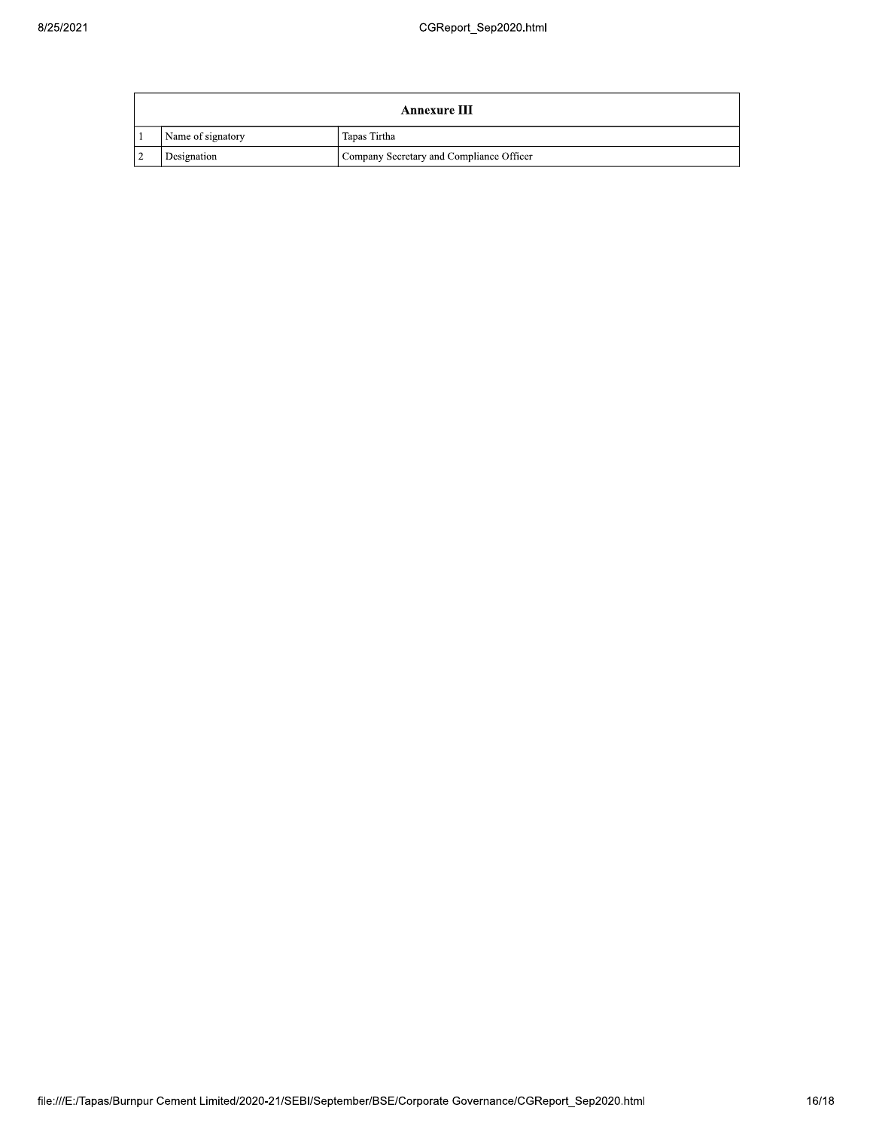| <b>Annexure III</b> |                   |                                          |
|---------------------|-------------------|------------------------------------------|
|                     | Name of signatory | Tapas Tirtha                             |
| $\mathcal{L}$       | Designation       | Company Secretary and Compliance Officer |